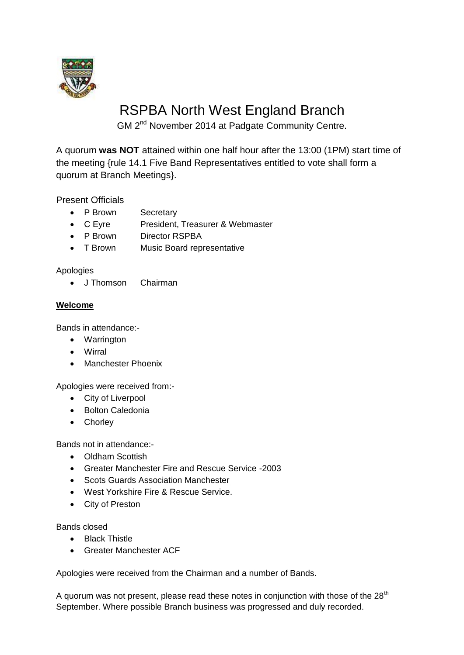

# RSPBA North West England Branch

GM 2<sup>nd</sup> November 2014 at Padgate Community Centre.

A quorum **was NOT** attained within one half hour after the 13:00 (1PM) start time of the meeting {rule 14.1 Five Band Representatives entitled to vote shall form a quorum at Branch Meetings}.

Present Officials

- P Brown Secretary
- C Eyre President, Treasurer & Webmaster
- P Brown Director RSPBA
- T Brown Music Board representative

Apologies

• J Thomson Chairman

## **Welcome**

Bands in attendance:-

- Warrington
- Wirral
- Manchester Phoenix

Apologies were received from:-

- City of Liverpool
- Bolton Caledonia
- Chorley

Bands not in attendance:-

- Oldham Scottish
- Greater Manchester Fire and Rescue Service -2003
- Scots Guards Association Manchester
- West Yorkshire Fire & Rescue Service.
- City of Preston

Bands closed

- Black Thistle
- Greater Manchester ACF

Apologies were received from the Chairman and a number of Bands.

A quorum was not present, please read these notes in conjunction with those of the 28<sup>th</sup> September. Where possible Branch business was progressed and duly recorded.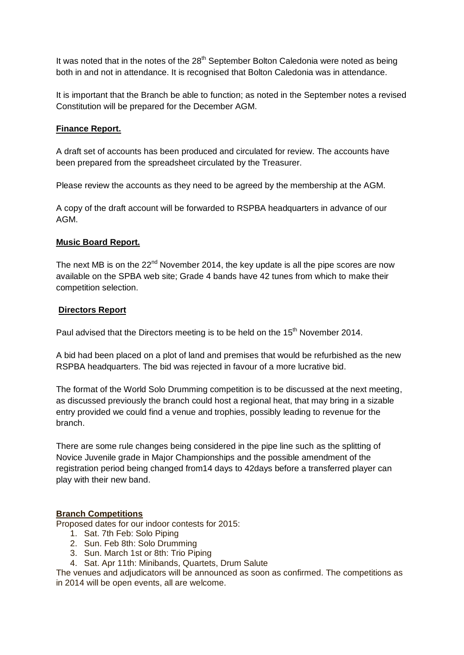It was noted that in the notes of the  $28<sup>th</sup>$  September Bolton Caledonia were noted as being both in and not in attendance. It is recognised that Bolton Caledonia was in attendance.

It is important that the Branch be able to function; as noted in the September notes a revised Constitution will be prepared for the December AGM.

### **Finance Report.**

A draft set of accounts has been produced and circulated for review. The accounts have been prepared from the spreadsheet circulated by the Treasurer.

Please review the accounts as they need to be agreed by the membership at the AGM.

A copy of the draft account will be forwarded to RSPBA headquarters in advance of our AGM.

### **Music Board Report.**

The next MB is on the  $22^{nd}$  November 2014, the key update is all the pipe scores are now available on the SPBA web site; Grade 4 bands have 42 tunes from which to make their competition selection.

### **Directors Report**

Paul advised that the Directors meeting is to be held on the  $15<sup>th</sup>$  November 2014.

A bid had been placed on a plot of land and premises that would be refurbished as the new RSPBA headquarters. The bid was rejected in favour of a more lucrative bid.

The format of the World Solo Drumming competition is to be discussed at the next meeting, as discussed previously the branch could host a regional heat, that may bring in a sizable entry provided we could find a venue and trophies, possibly leading to revenue for the branch.

There are some rule changes being considered in the pipe line such as the splitting of Novice Juvenile grade in Major Championships and the possible amendment of the registration period being changed from14 days to 42days before a transferred player can play with their new band.

## **Branch Competitions**

Proposed dates for our indoor contests for 2015:

- 1. Sat. 7th Feb: Solo Piping
- 2. Sun. Feb 8th: Solo Drumming
- 3. Sun. March 1st or 8th: Trio Piping
- 4. Sat. Apr 11th: Minibands, Quartets, Drum Salute

The venues and adjudicators will be announced as soon as confirmed. The competitions as in 2014 will be open events, all are welcome.